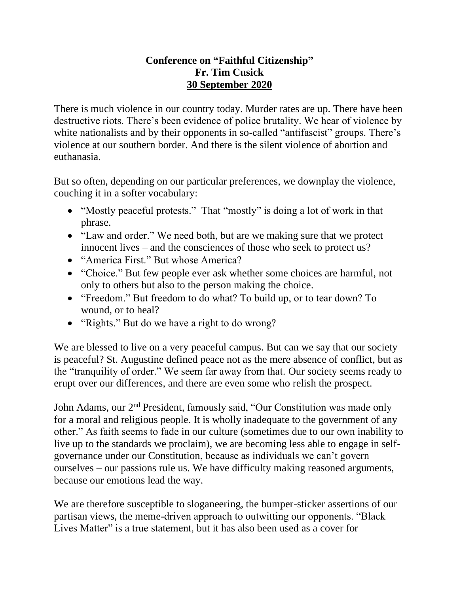## **Conference on "Faithful Citizenship" Fr. Tim Cusick 30 September 2020**

There is much violence in our country today. Murder rates are up. There have been destructive riots. There's been evidence of police brutality. We hear of violence by white nationalists and by their opponents in so-called "antifascist" groups. There's violence at our southern border. And there is the silent violence of abortion and euthanasia.

But so often, depending on our particular preferences, we downplay the violence, couching it in a softer vocabulary:

- "Mostly peaceful protests." That "mostly" is doing a lot of work in that phrase.
- "Law and order." We need both, but are we making sure that we protect innocent lives – and the consciences of those who seek to protect us?
- "America First." But whose America?
- "Choice." But few people ever ask whether some choices are harmful, not only to others but also to the person making the choice.
- "Freedom." But freedom to do what? To build up, or to tear down? To wound, or to heal?
- "Rights." But do we have a right to do wrong?

We are blessed to live on a very peaceful campus. But can we say that our society is peaceful? St. Augustine defined peace not as the mere absence of conflict, but as the "tranquility of order." We seem far away from that. Our society seems ready to erupt over our differences, and there are even some who relish the prospect.

John Adams, our 2nd President, famously said, "Our Constitution was made only for a moral and religious people. It is wholly inadequate to the government of any other." As faith seems to fade in our culture (sometimes due to our own inability to live up to the standards we proclaim), we are becoming less able to engage in selfgovernance under our Constitution, because as individuals we can't govern ourselves – our passions rule us. We have difficulty making reasoned arguments, because our emotions lead the way.

We are therefore susceptible to sloganeering, the bumper-sticker assertions of our partisan views, the meme-driven approach to outwitting our opponents. "Black Lives Matter" is a true statement, but it has also been used as a cover for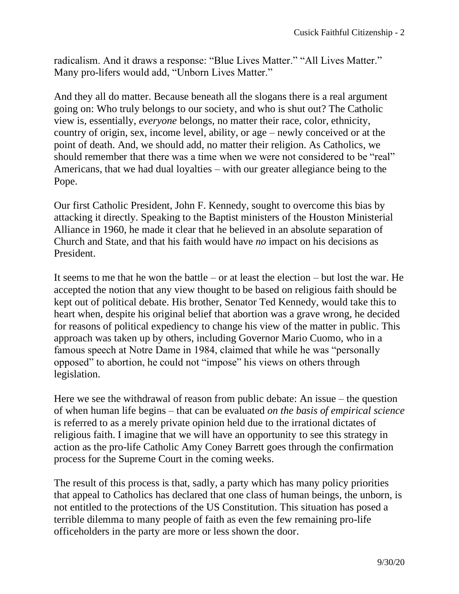radicalism. And it draws a response: "Blue Lives Matter." "All Lives Matter." Many pro-lifers would add, "Unborn Lives Matter."

And they all do matter. Because beneath all the slogans there is a real argument going on: Who truly belongs to our society, and who is shut out? The Catholic view is, essentially, *everyone* belongs, no matter their race, color, ethnicity, country of origin, sex, income level, ability, or age – newly conceived or at the point of death. And, we should add, no matter their religion. As Catholics, we should remember that there was a time when we were not considered to be "real" Americans, that we had dual loyalties – with our greater allegiance being to the Pope.

Our first Catholic President, John F. Kennedy, sought to overcome this bias by attacking it directly. Speaking to the Baptist ministers of the Houston Ministerial Alliance in 1960, he made it clear that he believed in an absolute separation of Church and State, and that his faith would have *no* impact on his decisions as President.

It seems to me that he won the battle – or at least the election – but lost the war. He accepted the notion that any view thought to be based on religious faith should be kept out of political debate. His brother, Senator Ted Kennedy, would take this to heart when, despite his original belief that abortion was a grave wrong, he decided for reasons of political expediency to change his view of the matter in public. This approach was taken up by others, including Governor Mario Cuomo, who in a famous speech at Notre Dame in 1984, claimed that while he was "personally opposed" to abortion, he could not "impose" his views on others through legislation.

Here we see the withdrawal of reason from public debate: An issue – the question of when human life begins – that can be evaluated *on the basis of empirical science*  is referred to as a merely private opinion held due to the irrational dictates of religious faith. I imagine that we will have an opportunity to see this strategy in action as the pro-life Catholic Amy Coney Barrett goes through the confirmation process for the Supreme Court in the coming weeks.

The result of this process is that, sadly, a party which has many policy priorities that appeal to Catholics has declared that one class of human beings, the unborn, is not entitled to the protections of the US Constitution. This situation has posed a terrible dilemma to many people of faith as even the few remaining pro-life officeholders in the party are more or less shown the door.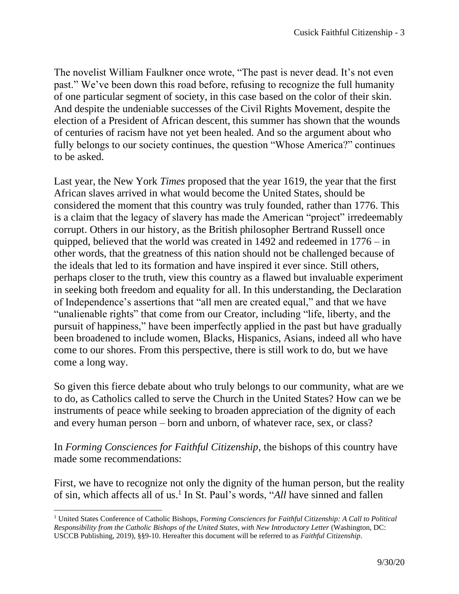The novelist William Faulkner once wrote, "The past is never dead. It's not even past." We've been down this road before, refusing to recognize the full humanity of one particular segment of society, in this case based on the color of their skin. And despite the undeniable successes of the Civil Rights Movement, despite the election of a President of African descent, this summer has shown that the wounds of centuries of racism have not yet been healed. And so the argument about who fully belongs to our society continues, the question "Whose America?" continues to be asked.

Last year, the New York *Times* proposed that the year 1619, the year that the first African slaves arrived in what would become the United States, should be considered the moment that this country was truly founded, rather than 1776. This is a claim that the legacy of slavery has made the American "project" irredeemably corrupt. Others in our history, as the British philosopher Bertrand Russell once quipped, believed that the world was created in 1492 and redeemed in 1776 – in other words, that the greatness of this nation should not be challenged because of the ideals that led to its formation and have inspired it ever since. Still others, perhaps closer to the truth, view this country as a flawed but invaluable experiment in seeking both freedom and equality for all. In this understanding, the Declaration of Independence's assertions that "all men are created equal," and that we have "unalienable rights" that come from our Creator, including "life, liberty, and the pursuit of happiness," have been imperfectly applied in the past but have gradually been broadened to include women, Blacks, Hispanics, Asians, indeed all who have come to our shores. From this perspective, there is still work to do, but we have come a long way.

So given this fierce debate about who truly belongs to our community, what are we to do, as Catholics called to serve the Church in the United States? How can we be instruments of peace while seeking to broaden appreciation of the dignity of each and every human person – born and unborn, of whatever race, sex, or class?

In *Forming Consciences for Faithful Citizenship*, the bishops of this country have made some recommendations:

First, we have to recognize not only the dignity of the human person, but the reality of sin, which affects all of us.<sup>1</sup> In St. Paul's words, "*All* have sinned and fallen

<sup>1</sup> United States Conference of Catholic Bishops, *Forming Consciences for Faithful Citizenship: A Call to Political Responsibility from the Catholic Bishops of the United States, with New Introductory Letter* (Washington, DC: USCCB Publishing, 2019), §§9-10. Hereafter this document will be referred to as *Faithful Citizenship*.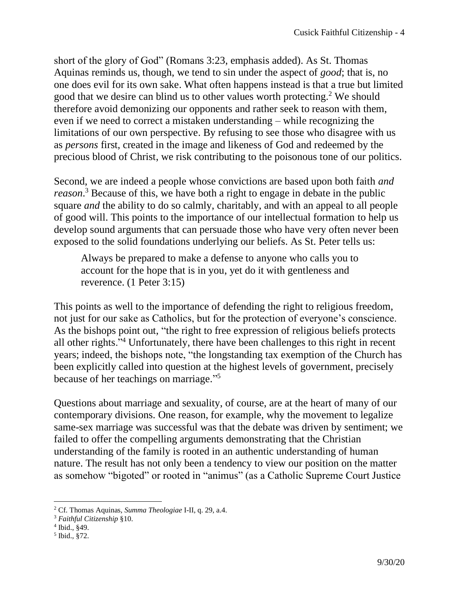short of the glory of God" (Romans 3:23, emphasis added). As St. Thomas Aquinas reminds us, though, we tend to sin under the aspect of *good*; that is, no one does evil for its own sake. What often happens instead is that a true but limited good that we desire can blind us to other values worth protecting.<sup>2</sup> We should therefore avoid demonizing our opponents and rather seek to reason with them, even if we need to correct a mistaken understanding – while recognizing the limitations of our own perspective. By refusing to see those who disagree with us as *persons* first, created in the image and likeness of God and redeemed by the precious blood of Christ, we risk contributing to the poisonous tone of our politics.

Second, we are indeed a people whose convictions are based upon both faith *and reason*. <sup>3</sup> Because of this, we have both a right to engage in debate in the public square *and* the ability to do so calmly, charitably, and with an appeal to all people of good will. This points to the importance of our intellectual formation to help us develop sound arguments that can persuade those who have very often never been exposed to the solid foundations underlying our beliefs. As St. Peter tells us:

Always be prepared to make a defense to anyone who calls you to account for the hope that is in you, yet do it with gentleness and reverence. (1 Peter 3:15)

This points as well to the importance of defending the right to religious freedom, not just for our sake as Catholics, but for the protection of everyone's conscience. As the bishops point out, "the right to free expression of religious beliefs protects all other rights."<sup>4</sup> Unfortunately, there have been challenges to this right in recent years; indeed, the bishops note, "the longstanding tax exemption of the Church has been explicitly called into question at the highest levels of government, precisely because of her teachings on marriage." 5

Questions about marriage and sexuality, of course, are at the heart of many of our contemporary divisions. One reason, for example, why the movement to legalize same-sex marriage was successful was that the debate was driven by sentiment; we failed to offer the compelling arguments demonstrating that the Christian understanding of the family is rooted in an authentic understanding of human nature. The result has not only been a tendency to view our position on the matter as somehow "bigoted" or rooted in "animus" (as a Catholic Supreme Court Justice

<sup>2</sup> Cf. Thomas Aquinas, *Summa Theologiae* I-II, q. 29, a.4.

<sup>3</sup> *Faithful Citizenship* §10.

<sup>4</sup> Ibid., §49.

<sup>5</sup> Ibid., §72.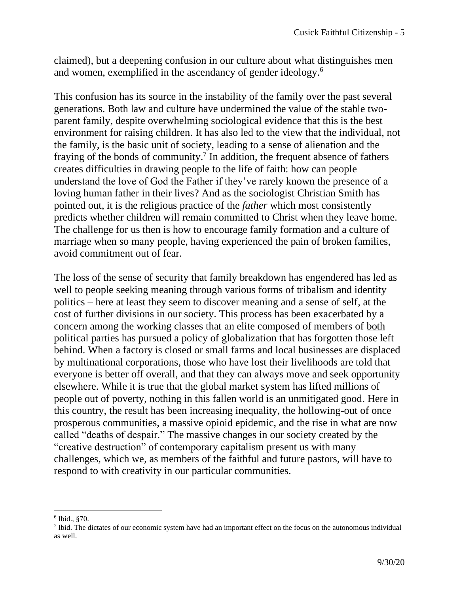claimed), but a deepening confusion in our culture about what distinguishes men and women, exemplified in the ascendancy of gender ideology.<sup>6</sup>

This confusion has its source in the instability of the family over the past several generations. Both law and culture have undermined the value of the stable twoparent family, despite overwhelming sociological evidence that this is the best environment for raising children. It has also led to the view that the individual, not the family, is the basic unit of society, leading to a sense of alienation and the fraying of the bonds of community.<sup>7</sup> In addition, the frequent absence of fathers creates difficulties in drawing people to the life of faith: how can people understand the love of God the Father if they've rarely known the presence of a loving human father in their lives? And as the sociologist Christian Smith has pointed out, it is the religious practice of the *father* which most consistently predicts whether children will remain committed to Christ when they leave home. The challenge for us then is how to encourage family formation and a culture of marriage when so many people, having experienced the pain of broken families, avoid commitment out of fear.

The loss of the sense of security that family breakdown has engendered has led as well to people seeking meaning through various forms of tribalism and identity politics – here at least they seem to discover meaning and a sense of self, at the cost of further divisions in our society. This process has been exacerbated by a concern among the working classes that an elite composed of members of both political parties has pursued a policy of globalization that has forgotten those left behind. When a factory is closed or small farms and local businesses are displaced by multinational corporations, those who have lost their livelihoods are told that everyone is better off overall, and that they can always move and seek opportunity elsewhere. While it is true that the global market system has lifted millions of people out of poverty, nothing in this fallen world is an unmitigated good. Here in this country, the result has been increasing inequality, the hollowing-out of once prosperous communities, a massive opioid epidemic, and the rise in what are now called "deaths of despair." The massive changes in our society created by the "creative destruction" of contemporary capitalism present us with many challenges, which we, as members of the faithful and future pastors, will have to respond to with creativity in our particular communities.

<sup>6</sup> Ibid., §70.

 $<sup>7</sup>$  Ibid. The dictates of our economic system have had an important effect on the focus on the autonomous individual</sup> as well.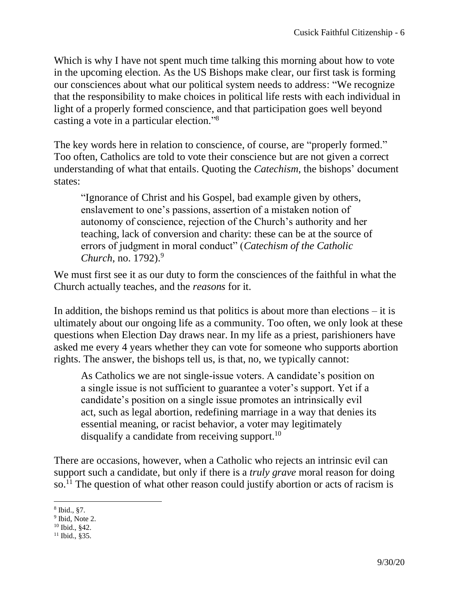Which is why I have not spent much time talking this morning about how to vote in the upcoming election. As the US Bishops make clear, our first task is forming our consciences about what our political system needs to address: "We recognize that the responsibility to make choices in political life rests with each individual in light of a properly formed conscience, and that participation goes well beyond casting a vote in a particular election." 8

The key words here in relation to conscience, of course, are "properly formed." Too often, Catholics are told to vote their conscience but are not given a correct understanding of what that entails. Quoting the *Catechism*, the bishops' document states:

"Ignorance of Christ and his Gospel, bad example given by others, enslavement to one's passions, assertion of a mistaken notion of autonomy of conscience, rejection of the Church's authority and her teaching, lack of conversion and charity: these can be at the source of errors of judgment in moral conduct" (*Catechism of the Catholic Church*, no. 1792).<sup>9</sup>

We must first see it as our duty to form the consciences of the faithful in what the Church actually teaches, and the *reasons* for it.

In addition, the bishops remind us that politics is about more than elections  $-$  it is ultimately about our ongoing life as a community. Too often, we only look at these questions when Election Day draws near. In my life as a priest, parishioners have asked me every 4 years whether they can vote for someone who supports abortion rights. The answer, the bishops tell us, is that, no, we typically cannot:

As Catholics we are not single-issue voters. A candidate's position on a single issue is not sufficient to guarantee a voter's support. Yet if a candidate's position on a single issue promotes an intrinsically evil act, such as legal abortion, redefining marriage in a way that denies its essential meaning, or racist behavior, a voter may legitimately disqualify a candidate from receiving support.<sup>10</sup>

There are occasions, however, when a Catholic who rejects an intrinsic evil can support such a candidate, but only if there is a *truly grave* moral reason for doing so.<sup>11</sup> The question of what other reason could justify abortion or acts of racism is

<sup>8</sup> Ibid., §7.

<sup>&</sup>lt;sup>9</sup> Ibid, Note 2.

<sup>10</sup> Ibid., §42.

 $11$  Ibid., §35.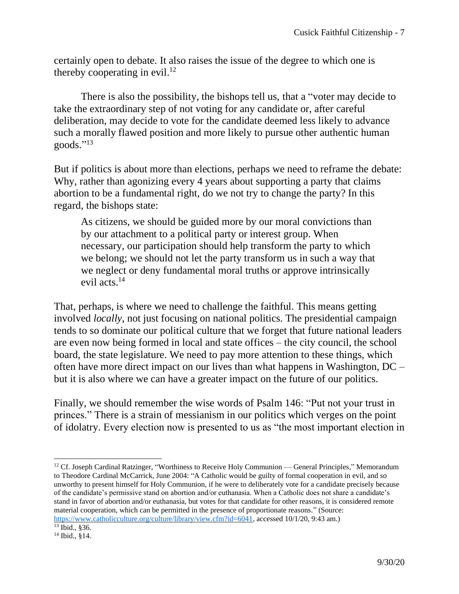certainly open to debate. It also raises the issue of the degree to which one is thereby cooperating in evil. $12$ 

There is also the possibility, the bishops tell us, that a "voter may decide to take the extraordinary step of not voting for any candidate or, after careful deliberation, may decide to vote for the candidate deemed less likely to advance such a morally flawed position and more likely to pursue other authentic human goods." 13

But if politics is about more than elections, perhaps we need to reframe the debate: Why, rather than agonizing every 4 years about supporting a party that claims abortion to be a fundamental right, do we not try to change the party? In this regard, the bishops state:

As citizens, we should be guided more by our moral convictions than by our attachment to a political party or interest group. When necessary, our participation should help transform the party to which we belong; we should not let the party transform us in such a way that we neglect or deny fundamental moral truths or approve intrinsically evil acts.<sup>14</sup>

That, perhaps, is where we need to challenge the faithful. This means getting involved *locally*, not just focusing on national politics. The presidential campaign tends to so dominate our political culture that we forget that future national leaders are even now being formed in local and state offices – the city council, the school board, the state legislature. We need to pay more attention to these things, which often have more direct impact on our lives than what happens in Washington, DC – but it is also where we can have a greater impact on the future of our politics.

Finally, we should remember the wise words of Psalm 146: "Put not your trust in princes." There is a strain of messianism in our politics which verges on the point of idolatry. Every election now is presented to us as "the most important election in

<sup>&</sup>lt;sup>12</sup> Cf. Joseph Cardinal Ratzinger, "Worthiness to Receive Holy Communion — General Principles," Memorandum to Theodore Cardinal McCarrick, June 2004: "A Catholic would be guilty of formal cooperation in evil, and so unworthy to present himself for Holy Communion, if he were to deliberately vote for a candidate precisely because of the candidate's permissive stand on abortion and/or euthanasia. When a Catholic does not share a candidate's stand in favor of abortion and/or euthanasia, but votes for that candidate for other reasons, it is considered remote material cooperation, which can be permitted in the presence of proportionate reasons." (Source:

[https://www.catholicculture.org/culture/library/view.cfm?id=6041,](https://www.catholicculture.org/culture/library/view.cfm?id=6041) accessed 10/1/20, 9:43 am.) <sup>13</sup> Ibid., §36.